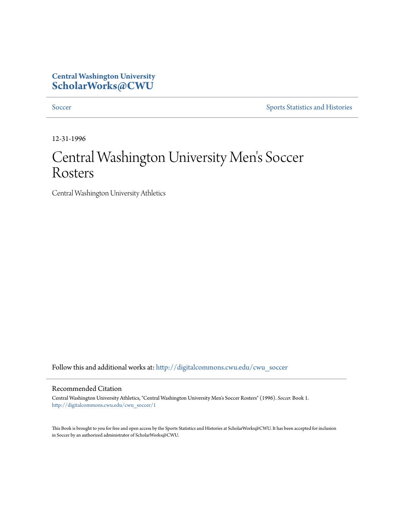# **Central Washington University [ScholarWorks@CWU](http://digitalcommons.cwu.edu?utm_source=digitalcommons.cwu.edu%2Fcwu_soccer%2F1&utm_medium=PDF&utm_campaign=PDFCoverPages)**

[Soccer](http://digitalcommons.cwu.edu/cwu_soccer?utm_source=digitalcommons.cwu.edu%2Fcwu_soccer%2F1&utm_medium=PDF&utm_campaign=PDFCoverPages) [Sports Statistics and Histories](http://digitalcommons.cwu.edu/cwu_sports_statistics?utm_source=digitalcommons.cwu.edu%2Fcwu_soccer%2F1&utm_medium=PDF&utm_campaign=PDFCoverPages)

12-31-1996

# Central Washington University Men 's Soccer Rosters

Central Washington University Athletics

Follow this and additional works at: [http://digitalcommons.cwu.edu/cwu\\_soccer](http://digitalcommons.cwu.edu/cwu_soccer?utm_source=digitalcommons.cwu.edu%2Fcwu_soccer%2F1&utm_medium=PDF&utm_campaign=PDFCoverPages)

### Recommended Citation

Central Washington University Athletics, "Central Washington University Men's Soccer Rosters" (1996). *Soccer.* Book 1. [http://digitalcommons.cwu.edu/cwu\\_soccer/1](http://digitalcommons.cwu.edu/cwu_soccer/1?utm_source=digitalcommons.cwu.edu%2Fcwu_soccer%2F1&utm_medium=PDF&utm_campaign=PDFCoverPages)

This Book is brought to you for free and open access by the Sports Statistics and Histories at ScholarWorks@CWU. It has been accepted for inclusion in Soccer by an authorized administrator of ScholarWorks@CWU.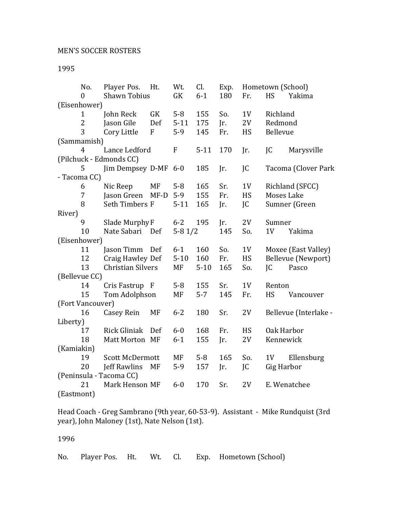| No.                     | Player Pos.              | Ht.          | Wt.         | Cl.      | Exp. | Hometown (School) |                   |                       |  |
|-------------------------|--------------------------|--------------|-------------|----------|------|-------------------|-------------------|-----------------------|--|
| $\theta$                | <b>Shawn Tobius</b>      |              | GK          | $6 - 1$  | 180  | Fr.               | <b>HS</b>         | Yakima                |  |
| (Eisenhower)            |                          |              |             |          |      |                   |                   |                       |  |
| $\mathbf{1}$            | John Reck                | GK           | $5 - 8$     | 155      | So.  | 1 <sub>V</sub>    | Richland          |                       |  |
| $\overline{2}$          | Jason Gile               | Def          | $5 - 11$    | 175      | Jr.  | 2V                | Redmond           |                       |  |
| 3                       | Cory Little              | $\mathbf{F}$ | $5-9$       | 145      | Fr.  | HS                | Bellevue          |                       |  |
| (Sammamish)             |                          |              |             |          |      |                   |                   |                       |  |
| $\overline{4}$          | Lance Ledford            |              | $\mathbf F$ | $5-11$   | 170  | Jr.               | JC                | Marysville            |  |
| (Pilchuck - Edmonds CC) |                          |              |             |          |      |                   |                   |                       |  |
| 5                       | Jim Dempsey D-MF         |              | $6-0$       | 185      | Jr.  | JC                |                   | Tacoma (Clover Park   |  |
| - Tacoma CC)            |                          |              |             |          |      |                   |                   |                       |  |
| 6                       | Nic Reep                 | <b>MF</b>    | $5 - 8$     | 165      | Sr.  | 1V                |                   | Richland (SFCC)       |  |
| 7                       | Jason Green              | $MF-D$       | $5-9$       | 155      | Fr.  | HS                | <b>Moses Lake</b> |                       |  |
| 8                       | Seth Timbers F           |              | $5 - 11$    | 165      | Jr.  | JC                |                   | Sumner (Green         |  |
| River)                  |                          |              |             |          |      |                   |                   |                       |  |
| 9                       | Slade Murphy F           |              | $6 - 2$     | 195      | Jr.  | 2V                | Sumner            |                       |  |
| 10                      | Nate Sabari Def          |              | $5-81/2$    |          | 145  | So.               | 1 <sub>V</sub>    | Yakima                |  |
| (Eisenhower)            |                          |              |             |          |      |                   |                   |                       |  |
| 11                      | Jason Timm               | Def          | $6-1$       | 160      | So.  | 1 <sub>V</sub>    |                   | Moxee (East Valley)   |  |
| 12                      | Craig Hawley Def         |              | $5 - 10$    | 160      | Fr.  | HS                |                   | Bellevue (Newport)    |  |
| 13                      | <b>Christian Silvers</b> |              | MF          | $5 - 10$ | 165  | So.               | IC                | Pasco                 |  |
| (Bellevue CC)           |                          |              |             |          |      |                   |                   |                       |  |
| 14                      | Cris Fastrup F           |              | $5-8$       | 155      | Sr.  | 1 <sub>V</sub>    | Renton            |                       |  |
| 15                      | Tom Adolphson            |              | MF          | $5 - 7$  | 145  | Fr.               | <b>HS</b>         | Vancouver             |  |
| (Fort Vancouver)        |                          |              |             |          |      |                   |                   |                       |  |
| 16                      | <b>Casey Rein</b>        | MF           | $6 - 2$     | 180      | Sr.  | 2V                |                   | Bellevue (Interlake - |  |
| Liberty)                |                          |              |             |          |      |                   |                   |                       |  |
| 17                      | <b>Rick Gliniak</b>      | Def          | $6-0$       | 168      | Fr.  | HS                | Oak Harbor        |                       |  |
| 18                      | Matt Morton MF           |              | $6 - 1$     | 155      | Jr.  | 2V                | Kennewick         |                       |  |
| (Kamiakin)              |                          |              |             |          |      |                   |                   |                       |  |
| 19                      | <b>Scott McDermott</b>   |              | MF          | $5 - 8$  | 165  | So.               | 1 <sub>V</sub>    | Ellensburg            |  |
| 20                      | Jeff Rawlins             | MF           | $5-9$       | 157      | Jr.  | JC                | Gig Harbor        |                       |  |
| (Peninsula - Tacoma CC) |                          |              |             |          |      |                   |                   |                       |  |
| 21                      | Mark Henson MF           |              | $6 - 0$     | 170      | Sr.  | 2V                |                   | E. Wenatchee          |  |
| (Eastmont)              |                          |              |             |          |      |                   |                   |                       |  |

Head Coach - Greg Sambrano (9th year, 60-53-9). Assistant - Mike Rundquist (3rd year), John Maloney (1st), Nate Nelson (1st).

## 1996

No. Player Pos. Ht. Wt. Cl. Exp. Hometown (School)